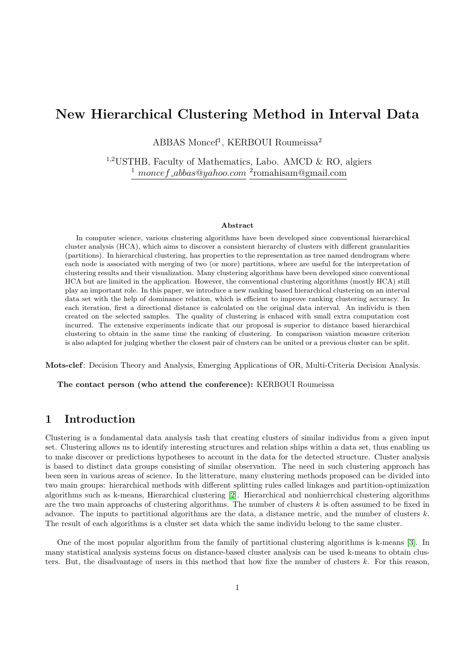# **New Hierarchical Clustering Method in Interval Data**

ABBAS Moncef<sup>1</sup>, KERBOUI Roumeissa<sup>2</sup>

<sup>1</sup>*,*<sup>2</sup>USTHB, Faculty of Mathematics, Labo. AMCD & RO, algiers <sup>1</sup> *moncef abbas*@*yahoo.com* <sup>2</sup> romahisam@gmail.com

#### **Abstract**

In computer science, various clustering algorithms have been developed since conventional hierarchical cluster analysis (HCA), which aims to discover a consistent hierarchy of clusters with different granularities (partitions). In hierarchical clustering, has properties to the representation as tree named dendrogram where each node is associated with merging of two (or more) partitions, where are useful for the interpretation of clustering results and their visualization. Many clustering algorithms have been developed since conventional HCA but are limited in the application. However, the conventional clustering algorithms (mostly HCA) still play an important role. In this paper, we introduce a new ranking based hierarchical clustering on an interval data set with the help of dominance relation, which is efficient to improve ranking clustering accuracy. In each iteration, first a directional distance is calculated on the original data interval. An individu is then created on the selected samples. The quality of clustering is enhaced with small extra computation cost incurred. The extensive experiments indicate that our proposal is superior to distance based hierarchical clustering to obtain in the same time the ranking of clustering. In comparison vaiation measure criterion is also adapted for judging whether the closest pair of clusters can be united or a previous cluster can be split.

**Mots-clef**: Decision Theory and Analysis, Emerging Applications of OR, Multi-Criteria Decision Analysis.

**The contact person (who attend the conference):** KERBOUI Roumeissa

#### **1 Introduction**

Clustering is a fondamental data analysis tash that creating clusters of similar individus from a given input set. Clustering allows us to identify interesting structures and relation ships within a data set, thus enabling us to make discover or predictions hypotheses to account in the data for the detected structure. Cluster analysis is based to distinct data groups consisting of similar observation. The need in such clustering approach has been seen in various areas of science. In the litterature, many clustering methods proposed can be divided into two main groups: hierarchical methods with different splitting rules called linkages and partition-optimization algorithms such as k-means, Hierarchical clustering [\[2\]](#page-3-0). Hierarchical and nonhierrchical clustering algorithms are the two main approachs of clustering algorithms. The number of clusters *k* is often assumed to be fixed in advance. The inputs to partitional algorithms are the data, a distance metric, and the number of clusters *k*. The result of each algorithms is a cluster set data which the same individu belong to the same cluster.

One of the most popular algorithm from the family of partitional clustering algorithms is k-means [\[3\]](#page-3-1). In many statistical analysis systems focus on distance-based cluster analysis can be used k-means to obtain clusters. But, the disadvantage of users in this method that how fixe the number of clusters *k*. For this reason,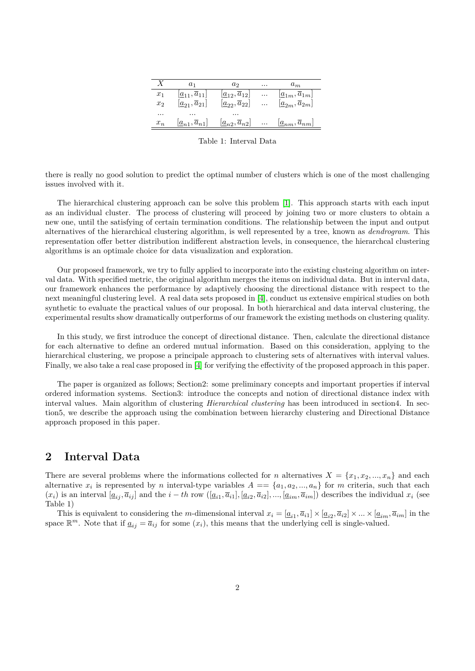| X     | $a_1$                                     | $a_2$                                     | $\cdots$ | $a_m$                                     |
|-------|-------------------------------------------|-------------------------------------------|----------|-------------------------------------------|
| $x_1$ | $[\underline{a}_{11}, \overline{a}_{11}]$ | $[\underline{a}_{12}, \overline{a}_{12}]$ | $\cdots$ | $[\underline{a}_{1m}, \overline{a}_{1m}]$ |
| $x_2$ | $[\underline{a}_{21}, \overline{a}_{21}]$ | $[\underline{a}_{22}, \overline{a}_{22}]$ | $\cdots$ | $ \underline{a}_{2m}, \overline{a}_{2m} $ |
|       | $\cdots$                                  | $\cdots$                                  |          |                                           |
| $x_n$ | $ \underline{a}_{n1}, \overline{a}_{n1} $ | $ \underline{a}_{n2}, \overline{a}_{n2} $ | $\cdots$ | $[\underline{a}_{nm}, \overline{a}_{nm}]$ |

Table 1: Interval Data

there is really no good solution to predict the optimal number of clusters which is one of the most challenging issues involved with it.

The hierarchical clustering approach can be solve this problem [\[1\]](#page-3-2). This approach starts with each input as an individual cluster. The process of clustering will proceed by joining two or more clusters to obtain a new one, until the satisfying of certain termination conditions. The relationship between the input and output alternatives of the hierarchical clustering algorithm, is well represented by a tree, known as *dendrogram*. This representation offer better distribution indifferent abstraction levels, in consequence, the hierarchcal clustering algorithms is an optimale choice for data visualization and exploration.

Our proposed framework, we try to fully applied to incorporate into the existing clusteing algorithm on interval data. With specified metric, the original algorithm merges the items on individual data. But in interval data, our framework enhances the performance by adaptively choosing the directional distance with respect to the next meaningful clustering level. A real data sets proposed in [\[4\]](#page-3-3), conduct us extensive empirical studies on both synthetic to evaluate the practical values of our proposal. In both hierarchical and data interval clustering, the experimental results show dramatically outperforms of our framework the existing methods on clustering quality.

In this study, we first introduce the concept of directional distance. Then, calculate the directional distance for each alternative to define an ordered mutual information. Based on this consideration, applying to the hierarchical clustering, we propose a principale approach to clustering sets of alternatives with interval values. Finally, we also take a real case proposed in [\[4\]](#page-3-3) for verifying the effectivity of the proposed approach in this paper.

The paper is organized as follows; Section2: some preliminary concepts and important properties if interval ordered information systems. Section3: introduce the concepts and notion of directional distance index with interval values. Main algorithm of clustering *Hierarchical clustering* has been introduced in section4. In section5, we describe the approach using the combination between hierarchy clustering and Directional Distance approach proposed in this paper.

#### **2 Interval Data**

There are several problems where the informations collected for *n* alternatives  $X = \{x_1, x_2, ..., x_n\}$  and each alternative  $x_i$  is represented by *n* interval-type variables  $A = \{a_1, a_2, ..., a_n\}$  for *m* criteria, such that each  $(x_i)$  is an interval  $[\underline{a}_{ij}, \overline{a}_{ij}]$  and the  $i-th$  row  $([\underline{a}_{i1}, \overline{a}_{i1}], [\underline{a}_{i2}, \overline{a}_{i2}], ..., [\underline{a}_{im}, \overline{a}_{im}])$  describes the individual  $x_i$  (see Table 1)

This is equivalent to considering the m-dimensional interval  $x_i = [\underline{a}_{i1}, \overline{a}_{i1}] \times [\underline{a}_{i2}, \overline{a}_{i2}] \times ... \times [\underline{a}_{im}, \overline{a}_{im}]$  in the space  $\mathbb{R}^m$ . Note that if  $\underline{a}_{ij} = \overline{a}_{ij}$  for some  $(x_i)$ , this means that the underlying cell is single-valued.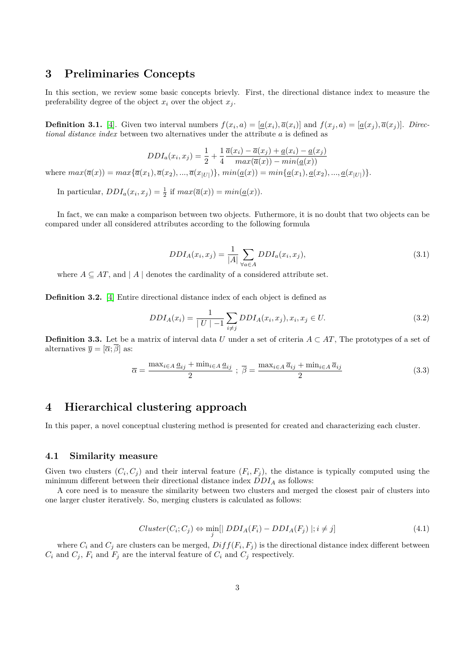### **3 Preliminaries Concepts**

In this section, we review some basic concepts brievly. First, the directional distance index to measure the preferability degree of the object  $x_i$  over the object  $x_j$ .

**Definition 3.1.** [\[4\]](#page-3-3). Given two interval numbers  $f(x_i, a) = [\underline{a}(x_i), \overline{a}(x_i)]$  and  $f(x_j, a) = [\underline{a}(x_j), \overline{a}(x_j)]$ . Direc*tional distance index* between two alternatives under the attribute *a* is defined as

$$
DDI_a(x_i, x_j) = \frac{1}{2} + \frac{1}{4} \frac{\overline{a}(x_i) - \overline{a}(x_j) + \underline{a}(x_i) - \underline{a}(x_j)}{max(\overline{a}(x)) - min(\underline{a}(x))}
$$
  
where 
$$
max(\overline{a}(x)) = max\{\overline{a}(x_1), \overline{a}(x_2), ..., \overline{a}(x_{|U|})\}, \min(\underline{a}(x)) = min\{\underline{a}(x_1), \underline{a}(x_2), ..., \underline{a}(x_{|U|})\}.
$$

In particular,  $DDI_a(x_i, x_j) = \frac{1}{2}$  if  $max(\overline{a}(x)) = min(\underline{a}(x)).$ 

<span id="page-2-0"></span>In fact, we can make a comparison between two objects. Futhermore, it is no doubt that two objects can be compared under all considered attributes according to the following formula

$$
DDI_A(x_i, x_j) = \frac{1}{|A|} \sum_{\forall a \in A} DDI_a(x_i, x_j), \qquad (3.1)
$$

where  $A \subseteq AT$ , and  $|A|$  denotes the cardinality of a considered attribute set.

**Definition 3.2.** [\[4\]](#page-3-3) Entire directional distance index of each object is defined as

$$
DDI_A(x_i) = \frac{1}{|U| - 1} \sum_{i \neq j} DDI_A(x_i, x_j), x_i, x_j \in U.
$$
\n(3.2)

<span id="page-2-1"></span>**Definition 3.3.** Let be a matrix of interval data *U* under a set of criteria  $A \subset AT$ , The prototypes of a set of alternatives  $\overline{y} = [\overline{\alpha}; \overline{\beta}]$  as:

$$
\overline{\alpha} = \frac{\max_{i \in A} \underline{a}_{ij} + \min_{i \in A} \underline{a}_{ij}}{2} \; ; \; \overline{\beta} = \frac{\max_{i \in A} \overline{a}_{ij} + \min_{i \in A} \overline{a}_{ij}}{2} \tag{3.3}
$$

#### **4 Hierarchical clustering approach**

In this paper, a novel conceptual clustering method is presented for created and characterizing each cluster.

#### **4.1 Similarity measure**

Given two clusters  $(C_i, C_j)$  and their interval feature  $(F_i, F_j)$ , the distance is typically computed using the minimum different between their directional distance index *DDI<sup>A</sup>* as follows:

A core need is to measure the similarity between two clusters and merged the closest pair of clusters into one larger cluster iteratively. So, merging clusters is calculated as follows:

$$
Cluster(C_i; C_j) \Leftrightarrow \min_{j} [|DDI_A(F_i) - DDI_A(F_j)|; i \neq j]
$$
\n(4.1)

where  $C_i$  and  $C_j$  are clusters can be merged,  $Diff(F_i, F_j)$  is the directional distance index different between  $C_i$  and  $C_j$ ,  $F_i$  and  $F_j$  are the interval feature of  $C_i$  and  $C_j$  respectively.